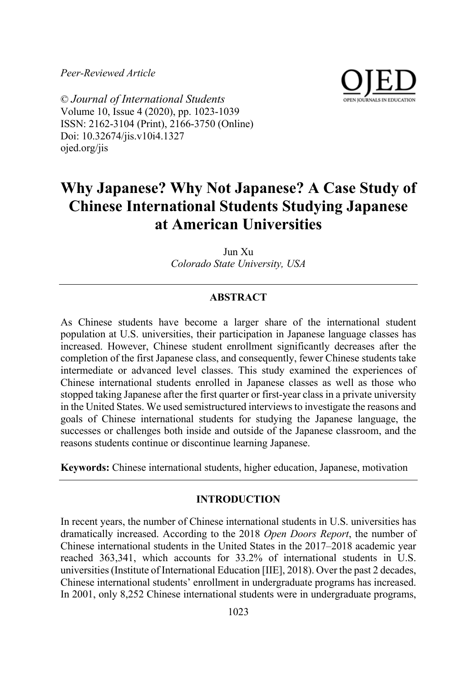*Peer-Reviewed Article*



© *Journal of International Students* Volume 10, Issue 4 (2020), pp. 1023-1039 ISSN: 2162-3104 (Print), 2166-3750 (Online) Doi: 10.32674/jis.v10i4.1327 ojed.org/jis

# **Why Japanese? Why Not Japanese? A Case Study of Chinese International Students Studying Japanese at American Universities**

Jun Xu *Colorado State University, USA*

# **ABSTRACT**

As Chinese students have become a larger share of the international student population at U.S. universities, their participation in Japanese language classes has increased. However, Chinese student enrollment significantly decreases after the completion of the first Japanese class, and consequently, fewer Chinese students take intermediate or advanced level classes. This study examined the experiences of Chinese international students enrolled in Japanese classes as well as those who stopped taking Japanese after the first quarter or first-year class in a private university in the United States. We used semistructured interviews to investigate the reasons and goals of Chinese international students for studying the Japanese language, the successes or challenges both inside and outside of the Japanese classroom, and the reasons students continue or discontinue learning Japanese.

**Keywords:** Chinese international students, higher education, Japanese, motivation

## **INTRODUCTION**

In recent years, the number of Chinese international students in U.S. universities has dramatically increased. According to the 2018 *Open Doors Report*, the number of Chinese international students in the United States in the 2017–2018 academic year reached 363,341, which accounts for 33.2% of international students in U.S. universities (Institute of International Education [IIE], 2018). Over the past 2 decades, Chinese international students' enrollment in undergraduate programs has increased. In 2001, only 8,252 Chinese international students were in undergraduate programs,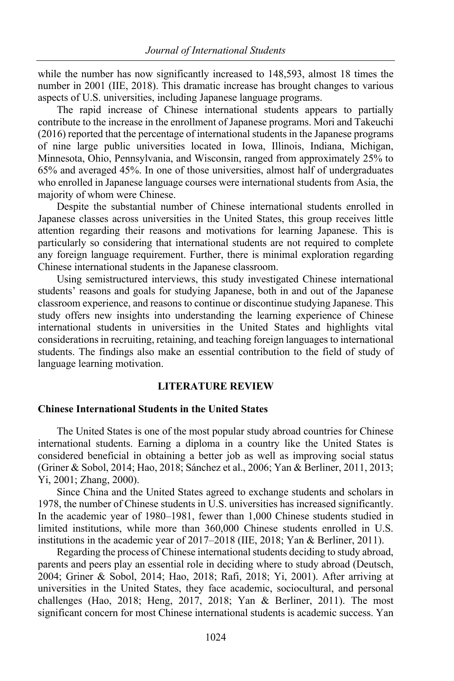while the number has now significantly increased to 148,593, almost 18 times the number in 2001 (IIE, 2018). This dramatic increase has brought changes to various aspects of U.S. universities, including Japanese language programs.

The rapid increase of Chinese international students appears to partially contribute to the increase in the enrollment of Japanese programs. Mori and Takeuchi (2016) reported that the percentage of international students in the Japanese programs of nine large public universities located in Iowa, Illinois, Indiana, Michigan, Minnesota, Ohio, Pennsylvania, and Wisconsin, ranged from approximately 25% to 65% and averaged 45%. In one of those universities, almost half of undergraduates who enrolled in Japanese language courses were international students from Asia, the majority of whom were Chinese.

Despite the substantial number of Chinese international students enrolled in Japanese classes across universities in the United States, this group receives little attention regarding their reasons and motivations for learning Japanese. This is particularly so considering that international students are not required to complete any foreign language requirement. Further, there is minimal exploration regarding Chinese international students in the Japanese classroom.

Using semistructured interviews, this study investigated Chinese international students' reasons and goals for studying Japanese, both in and out of the Japanese classroom experience, and reasons to continue or discontinue studying Japanese. This study offers new insights into understanding the learning experience of Chinese international students in universities in the United States and highlights vital considerations in recruiting, retaining, and teaching foreign languages to international students. The findings also make an essential contribution to the field of study of language learning motivation.

## **LITERATURE REVIEW**

## **Chinese International Students in the United States**

The United States is one of the most popular study abroad countries for Chinese international students. Earning a diploma in a country like the United States is considered beneficial in obtaining a better job as well as improving social status (Griner & Sobol, 2014; Hao, 2018; Sánchez et al., 2006; Yan & Berliner, 2011, 2013; Yi, 2001; Zhang, 2000).

Since China and the United States agreed to exchange students and scholars in 1978, the number of Chinese students in U.S. universities has increased significantly. In the academic year of 1980–1981, fewer than 1,000 Chinese students studied in limited institutions, while more than 360,000 Chinese students enrolled in U.S. institutions in the academic year of 2017–2018 (IIE, 2018; Yan & Berliner, 2011).

Regarding the process of Chinese international students deciding to study abroad, parents and peers play an essential role in deciding where to study abroad (Deutsch, 2004; Griner & Sobol, 2014; Hao, 2018; Rafi, 2018; Yi, 2001). After arriving at universities in the United States, they face academic, sociocultural, and personal challenges (Hao, 2018; Heng, 2017, 2018; Yan & Berliner, 2011). The most significant concern for most Chinese international students is academic success. Yan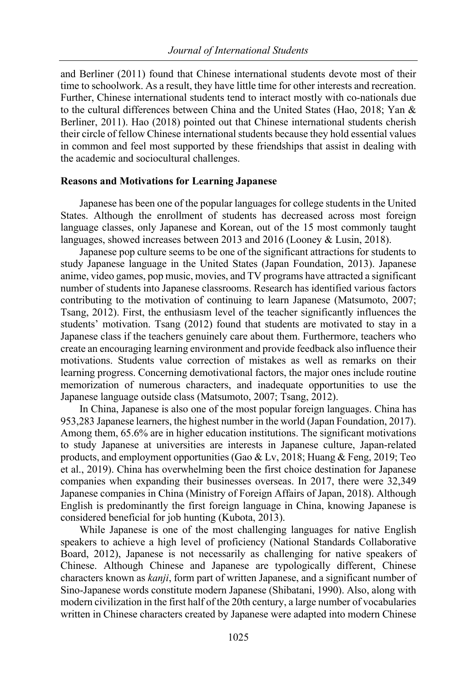and Berliner (2011) found that Chinese international students devote most of their time to schoolwork. As a result, they have little time for other interests and recreation. Further, Chinese international students tend to interact mostly with co-nationals due to the cultural differences between China and the United States (Hao, 2018; Yan & Berliner, 2011). Hao (2018) pointed out that Chinese international students cherish their circle of fellow Chinese international students because they hold essential values in common and feel most supported by these friendships that assist in dealing with the academic and sociocultural challenges.

## **Reasons and Motivations for Learning Japanese**

Japanese has been one of the popular languages for college students in the United States. Although the enrollment of students has decreased across most foreign language classes, only Japanese and Korean, out of the 15 most commonly taught languages, showed increases between 2013 and 2016 (Looney & Lusin, 2018).

Japanese pop culture seems to be one of the significant attractions for students to study Japanese language in the United States (Japan Foundation, 2013). Japanese anime, video games, pop music, movies, and TV programs have attracted a significant number of students into Japanese classrooms. Research has identified various factors contributing to the motivation of continuing to learn Japanese (Matsumoto, 2007; Tsang, 2012). First, the enthusiasm level of the teacher significantly influences the students' motivation. Tsang (2012) found that students are motivated to stay in a Japanese class if the teachers genuinely care about them. Furthermore, teachers who create an encouraging learning environment and provide feedback also influence their motivations. Students value correction of mistakes as well as remarks on their learning progress. Concerning demotivational factors, the major ones include routine memorization of numerous characters, and inadequate opportunities to use the Japanese language outside class (Matsumoto, 2007; Tsang, 2012).

In China, Japanese is also one of the most popular foreign languages. China has 953,283 Japanese learners, the highest number in the world (Japan Foundation, 2017). Among them, 65.6% are in higher education institutions. The significant motivations to study Japanese at universities are interests in Japanese culture, Japan-related products, and employment opportunities (Gao & Lv, 2018; Huang & Feng, 2019; Teo et al., 2019). China has overwhelming been the first choice destination for Japanese companies when expanding their businesses overseas. In 2017, there were 32,349 Japanese companies in China (Ministry of Foreign Affairs of Japan, 2018). Although English is predominantly the first foreign language in China, knowing Japanese is considered beneficial for job hunting (Kubota, 2013).

While Japanese is one of the most challenging languages for native English speakers to achieve a high level of proficiency (National Standards Collaborative Board, 2012), Japanese is not necessarily as challenging for native speakers of Chinese. Although Chinese and Japanese are typologically different, Chinese characters known as *kanji*, form part of written Japanese, and a significant number of Sino-Japanese words constitute modern Japanese (Shibatani, 1990). Also, along with modern civilization in the first half of the 20th century, a large number of vocabularies written in Chinese characters created by Japanese were adapted into modern Chinese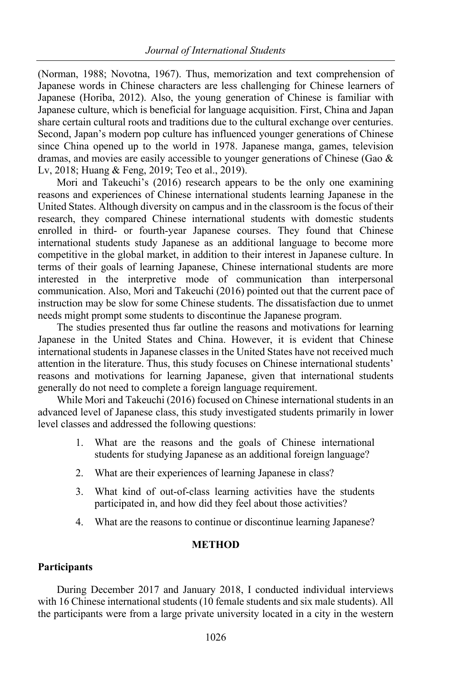(Norman, 1988; Novotna, 1967). Thus, memorization and text comprehension of Japanese words in Chinese characters are less challenging for Chinese learners of Japanese (Horiba, 2012). Also, the young generation of Chinese is familiar with Japanese culture, which is beneficial for language acquisition. First, China and Japan share certain cultural roots and traditions due to the cultural exchange over centuries. Second, Japan's modern pop culture has influenced younger generations of Chinese since China opened up to the world in 1978. Japanese manga, games, television dramas, and movies are easily accessible to younger generations of Chinese (Gao & Lv, 2018; Huang & Feng, 2019; Teo et al., 2019).

Mori and Takeuchi's (2016) research appears to be the only one examining reasons and experiences of Chinese international students learning Japanese in the United States. Although diversity on campus and in the classroom is the focus of their research, they compared Chinese international students with domestic students enrolled in third- or fourth-year Japanese courses. They found that Chinese international students study Japanese as an additional language to become more competitive in the global market, in addition to their interest in Japanese culture. In terms of their goals of learning Japanese, Chinese international students are more interested in the interpretive mode of communication than interpersonal communication. Also, Mori and Takeuchi (2016) pointed out that the current pace of instruction may be slow for some Chinese students. The dissatisfaction due to unmet needs might prompt some students to discontinue the Japanese program.

The studies presented thus far outline the reasons and motivations for learning Japanese in the United States and China. However, it is evident that Chinese international students in Japanese classes in the United States have not received much attention in the literature. Thus, this study focuses on Chinese international students' reasons and motivations for learning Japanese, given that international students generally do not need to complete a foreign language requirement.

While Mori and Takeuchi (2016) focused on Chinese international students in an advanced level of Japanese class, this study investigated students primarily in lower level classes and addressed the following questions:

- 1. What are the reasons and the goals of Chinese international students for studying Japanese as an additional foreign language?
- 2. What are their experiences of learning Japanese in class?
- 3. What kind of out-of-class learning activities have the students participated in, and how did they feel about those activities?
- 4. What are the reasons to continue or discontinue learning Japanese?

# **METHOD**

## **Participants**

During December 2017 and January 2018, I conducted individual interviews with 16 Chinese international students (10 female students and six male students). All the participants were from a large private university located in a city in the western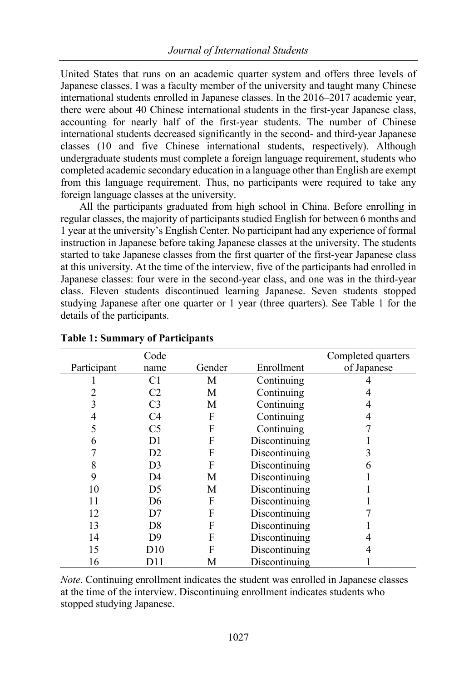United States that runs on an academic quarter system and offers three levels of Japanese classes. I was a faculty member of the university and taught many Chinese international students enrolled in Japanese classes. In the 2016–2017 academic year, there were about 40 Chinese international students in the first-year Japanese class, accounting for nearly half of the first-year students. The number of Chinese international students decreased significantly in the second- and third-year Japanese classes (10 and five Chinese international students, respectively). Although undergraduate students must complete a foreign language requirement, students who completed academic secondary education in a language other than English are exempt from this language requirement. Thus, no participants were required to take any foreign language classes at the university.

All the participants graduated from high school in China. Before enrolling in regular classes, the majority of participants studied English for between 6 months and 1 year at the university's English Center. No participant had any experience of formal instruction in Japanese before taking Japanese classes at the university. The students started to take Japanese classes from the first quarter of the first-year Japanese class at this university. At the time of the interview, five of the participants had enrolled in Japanese classes: four were in the second-year class, and one was in the third-year class. Eleven students discontinued learning Japanese. Seven students stopped studying Japanese after one quarter or 1 year (three quarters). See Table 1 for the details of the participants.

|             | Code           |        |               | Completed quarters |
|-------------|----------------|--------|---------------|--------------------|
| Participant | name           | Gender | Enrollment    | of Japanese        |
|             | C1             | М      | Continuing    |                    |
| 2           | C <sub>2</sub> | М      | Continuing    |                    |
| 3           | C <sub>3</sub> | М      | Continuing    | 4                  |
| 4           | C4             | F      | Continuing    | 4                  |
| 5           | C <sub>5</sub> | F      | Continuing    |                    |
| 6           | D1             | F      | Discontinuing |                    |
|             | D2             | F      | Discontinuing |                    |
| 8           | D <sub>3</sub> | F      | Discontinuing | 6                  |
| 9           | D4             | M      | Discontinuing |                    |
| 10          | D5             | М      | Discontinuing |                    |
| 11          | D6             | F      | Discontinuing |                    |
| 12          | D7             | F      | Discontinuing |                    |
| 13          | D8             | F      | Discontinuing |                    |
| 14          | D9             | F      | Discontinuing |                    |
| 15          | D10            | F      | Discontinuing |                    |
| 16          | DH             | М      | Discontinuing |                    |

## **Table 1: Summary of Participants**

*Note*. Continuing enrollment indicates the student was enrolled in Japanese classes at the time of the interview. Discontinuing enrollment indicates students who stopped studying Japanese.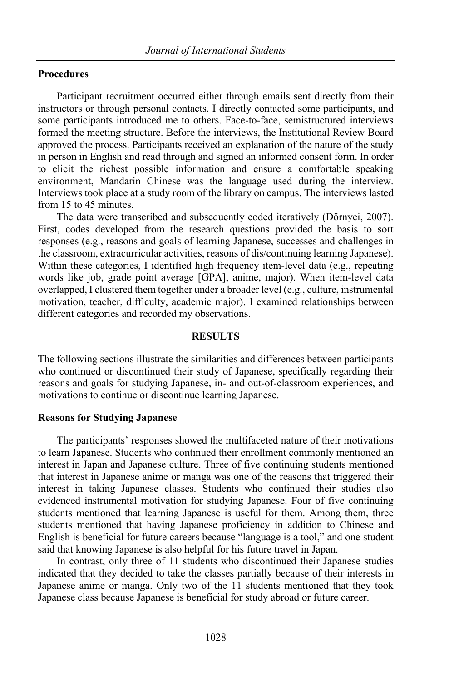## **Procedures**

Participant recruitment occurred either through emails sent directly from their instructors or through personal contacts. I directly contacted some participants, and some participants introduced me to others. Face-to-face, semistructured interviews formed the meeting structure. Before the interviews, the Institutional Review Board approved the process. Participants received an explanation of the nature of the study in person in English and read through and signed an informed consent form. In order to elicit the richest possible information and ensure a comfortable speaking environment, Mandarin Chinese was the language used during the interview. Interviews took place at a study room of the library on campus. The interviews lasted from 15 to 45 minutes.

The data were transcribed and subsequently coded iteratively (Dörnyei, 2007). First, codes developed from the research questions provided the basis to sort responses (e.g., reasons and goals of learning Japanese, successes and challenges in the classroom, extracurricular activities, reasons of dis/continuing learning Japanese). Within these categories, I identified high frequency item-level data (e.g., repeating words like job, grade point average [GPA], anime, major). When item-level data overlapped, I clustered them together under a broader level (e.g., culture, instrumental motivation, teacher, difficulty, academic major). I examined relationships between different categories and recorded my observations.

## **RESULTS**

The following sections illustrate the similarities and differences between participants who continued or discontinued their study of Japanese, specifically regarding their reasons and goals for studying Japanese, in- and out-of-classroom experiences, and motivations to continue or discontinue learning Japanese.

## **Reasons for Studying Japanese**

The participants' responses showed the multifaceted nature of their motivations to learn Japanese. Students who continued their enrollment commonly mentioned an interest in Japan and Japanese culture. Three of five continuing students mentioned that interest in Japanese anime or manga was one of the reasons that triggered their interest in taking Japanese classes. Students who continued their studies also evidenced instrumental motivation for studying Japanese. Four of five continuing students mentioned that learning Japanese is useful for them. Among them, three students mentioned that having Japanese proficiency in addition to Chinese and English is beneficial for future careers because "language is a tool," and one student said that knowing Japanese is also helpful for his future travel in Japan.

In contrast, only three of 11 students who discontinued their Japanese studies indicated that they decided to take the classes partially because of their interests in Japanese anime or manga. Only two of the 11 students mentioned that they took Japanese class because Japanese is beneficial for study abroad or future career.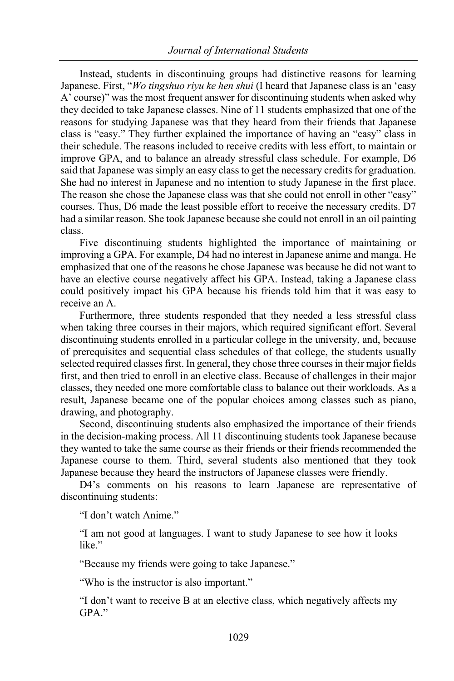Instead, students in discontinuing groups had distinctive reasons for learning Japanese. First, "*Wo tingshuo riyu ke hen shui* (I heard that Japanese class is an 'easy A' course)" was the most frequent answer for discontinuing students when asked why they decided to take Japanese classes. Nine of 11 students emphasized that one of the reasons for studying Japanese was that they heard from their friends that Japanese class is "easy." They further explained the importance of having an "easy" class in their schedule. The reasons included to receive credits with less effort, to maintain or improve GPA, and to balance an already stressful class schedule. For example, D6 said that Japanese was simply an easy class to get the necessary credits for graduation. She had no interest in Japanese and no intention to study Japanese in the first place. The reason she chose the Japanese class was that she could not enroll in other "easy" courses. Thus, D6 made the least possible effort to receive the necessary credits. D7 had a similar reason. She took Japanese because she could not enroll in an oil painting class.

Five discontinuing students highlighted the importance of maintaining or improving a GPA. For example, D4 had no interest in Japanese anime and manga. He emphasized that one of the reasons he chose Japanese was because he did not want to have an elective course negatively affect his GPA. Instead, taking a Japanese class could positively impact his GPA because his friends told him that it was easy to receive an A.

Furthermore, three students responded that they needed a less stressful class when taking three courses in their majors, which required significant effort. Several discontinuing students enrolled in a particular college in the university, and, because of prerequisites and sequential class schedules of that college, the students usually selected required classes first. In general, they chose three courses in their major fields first, and then tried to enroll in an elective class. Because of challenges in their major classes, they needed one more comfortable class to balance out their workloads. As a result, Japanese became one of the popular choices among classes such as piano, drawing, and photography.

Second, discontinuing students also emphasized the importance of their friends in the decision-making process. All 11 discontinuing students took Japanese because they wanted to take the same course as their friends or their friends recommended the Japanese course to them. Third, several students also mentioned that they took Japanese because they heard the instructors of Japanese classes were friendly.

D4's comments on his reasons to learn Japanese are representative of discontinuing students:

"I don't watch Anime."

"I am not good at languages. I want to study Japanese to see how it looks like."

"Because my friends were going to take Japanese."

"Who is the instructor is also important."

"I don't want to receive B at an elective class, which negatively affects my GPA."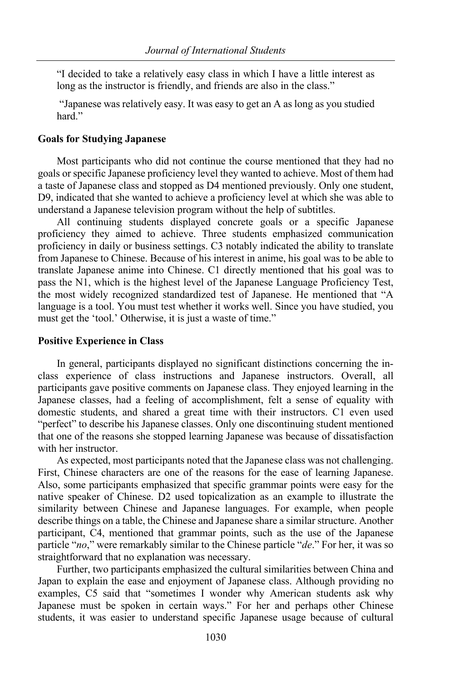"I decided to take a relatively easy class in which I have a little interest as long as the instructor is friendly, and friends are also in the class."

"Japanese was relatively easy. It was easy to get an A as long as you studied hard."

#### **Goals for Studying Japanese**

Most participants who did not continue the course mentioned that they had no goals or specific Japanese proficiency level they wanted to achieve. Most of them had a taste of Japanese class and stopped as D4 mentioned previously. Only one student, D9, indicated that she wanted to achieve a proficiency level at which she was able to understand a Japanese television program without the help of subtitles.

All continuing students displayed concrete goals or a specific Japanese proficiency they aimed to achieve. Three students emphasized communication proficiency in daily or business settings. C3 notably indicated the ability to translate from Japanese to Chinese. Because of his interest in anime, his goal was to be able to translate Japanese anime into Chinese. C1 directly mentioned that his goal was to pass the N1, which is the highest level of the Japanese Language Proficiency Test, the most widely recognized standardized test of Japanese. He mentioned that "A language is a tool. You must test whether it works well. Since you have studied, you must get the 'tool.' Otherwise, it is just a waste of time."

#### **Positive Experience in Class**

In general, participants displayed no significant distinctions concerning the inclass experience of class instructions and Japanese instructors. Overall, all participants gave positive comments on Japanese class. They enjoyed learning in the Japanese classes, had a feeling of accomplishment, felt a sense of equality with domestic students, and shared a great time with their instructors. C1 even used "perfect" to describe his Japanese classes. Only one discontinuing student mentioned that one of the reasons she stopped learning Japanese was because of dissatisfaction with her instructor.

As expected, most participants noted that the Japanese class was not challenging. First, Chinese characters are one of the reasons for the ease of learning Japanese. Also, some participants emphasized that specific grammar points were easy for the native speaker of Chinese. D2 used topicalization as an example to illustrate the similarity between Chinese and Japanese languages. For example, when people describe things on a table, the Chinese and Japanese share a similar structure. Another participant, C4, mentioned that grammar points, such as the use of the Japanese particle "*no*," were remarkably similar to the Chinese particle "*de*." For her, it was so straightforward that no explanation was necessary.

Further, two participants emphasized the cultural similarities between China and Japan to explain the ease and enjoyment of Japanese class. Although providing no examples, C5 said that "sometimes I wonder why American students ask why Japanese must be spoken in certain ways." For her and perhaps other Chinese students, it was easier to understand specific Japanese usage because of cultural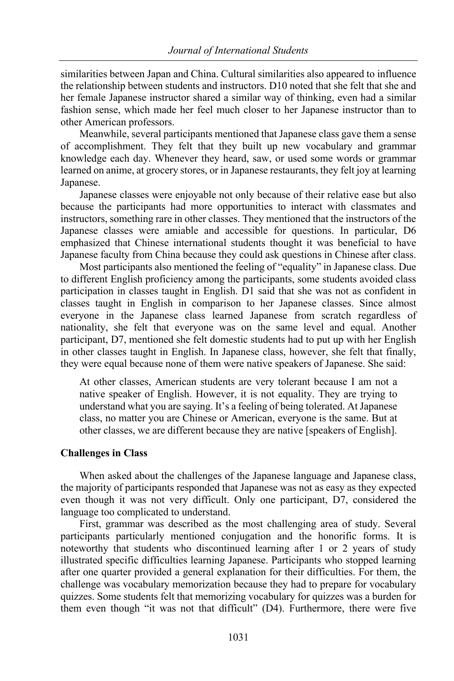similarities between Japan and China. Cultural similarities also appeared to influence the relationship between students and instructors. D10 noted that she felt that she and her female Japanese instructor shared a similar way of thinking, even had a similar fashion sense, which made her feel much closer to her Japanese instructor than to other American professors.

Meanwhile, several participants mentioned that Japanese class gave them a sense of accomplishment. They felt that they built up new vocabulary and grammar knowledge each day. Whenever they heard, saw, or used some words or grammar learned on anime, at grocery stores, or in Japanese restaurants, they felt joy at learning Japanese.

Japanese classes were enjoyable not only because of their relative ease but also because the participants had more opportunities to interact with classmates and instructors, something rare in other classes. They mentioned that the instructors of the Japanese classes were amiable and accessible for questions. In particular, D6 emphasized that Chinese international students thought it was beneficial to have Japanese faculty from China because they could ask questions in Chinese after class.

Most participants also mentioned the feeling of "equality" in Japanese class. Due to different English proficiency among the participants, some students avoided class participation in classes taught in English. D1 said that she was not as confident in classes taught in English in comparison to her Japanese classes. Since almost everyone in the Japanese class learned Japanese from scratch regardless of nationality, she felt that everyone was on the same level and equal. Another participant, D7, mentioned she felt domestic students had to put up with her English in other classes taught in English. In Japanese class, however, she felt that finally, they were equal because none of them were native speakers of Japanese. She said:

At other classes, American students are very tolerant because I am not a native speaker of English. However, it is not equality. They are trying to understand what you are saying. It's a feeling of being tolerated. At Japanese class, no matter you are Chinese or American, everyone is the same. But at other classes, we are different because they are native [speakers of English].

## **Challenges in Class**

When asked about the challenges of the Japanese language and Japanese class, the majority of participants responded that Japanese was not as easy as they expected even though it was not very difficult. Only one participant, D7, considered the language too complicated to understand.

First, grammar was described as the most challenging area of study. Several participants particularly mentioned conjugation and the honorific forms. It is noteworthy that students who discontinued learning after 1 or 2 years of study illustrated specific difficulties learning Japanese. Participants who stopped learning after one quarter provided a general explanation for their difficulties. For them, the challenge was vocabulary memorization because they had to prepare for vocabulary quizzes. Some students felt that memorizing vocabulary for quizzes was a burden for them even though "it was not that difficult" (D4). Furthermore, there were five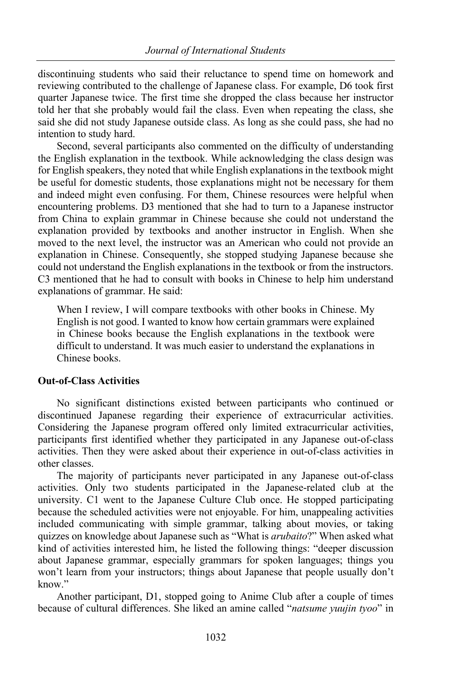discontinuing students who said their reluctance to spend time on homework and reviewing contributed to the challenge of Japanese class. For example, D6 took first quarter Japanese twice. The first time she dropped the class because her instructor told her that she probably would fail the class. Even when repeating the class, she said she did not study Japanese outside class. As long as she could pass, she had no intention to study hard.

Second, several participants also commented on the difficulty of understanding the English explanation in the textbook. While acknowledging the class design was for English speakers, they noted that while English explanations in the textbook might be useful for domestic students, those explanations might not be necessary for them and indeed might even confusing. For them, Chinese resources were helpful when encountering problems. D3 mentioned that she had to turn to a Japanese instructor from China to explain grammar in Chinese because she could not understand the explanation provided by textbooks and another instructor in English. When she moved to the next level, the instructor was an American who could not provide an explanation in Chinese. Consequently, she stopped studying Japanese because she could not understand the English explanations in the textbook or from the instructors. C3 mentioned that he had to consult with books in Chinese to help him understand explanations of grammar. He said:

When I review, I will compare textbooks with other books in Chinese. My English is not good. I wanted to know how certain grammars were explained in Chinese books because the English explanations in the textbook were difficult to understand. It was much easier to understand the explanations in Chinese books.

## **Out-of-Class Activities**

No significant distinctions existed between participants who continued or discontinued Japanese regarding their experience of extracurricular activities. Considering the Japanese program offered only limited extracurricular activities, participants first identified whether they participated in any Japanese out-of-class activities. Then they were asked about their experience in out-of-class activities in other classes.

The majority of participants never participated in any Japanese out-of-class activities. Only two students participated in the Japanese-related club at the university. C1 went to the Japanese Culture Club once. He stopped participating because the scheduled activities were not enjoyable. For him, unappealing activities included communicating with simple grammar, talking about movies, or taking quizzes on knowledge about Japanese such as "What is *arubaito*?" When asked what kind of activities interested him, he listed the following things: "deeper discussion about Japanese grammar, especially grammars for spoken languages; things you won't learn from your instructors; things about Japanese that people usually don't know."

Another participant, D1, stopped going to Anime Club after a couple of times because of cultural differences. She liked an amine called "*natsume yuujin tyoo*" in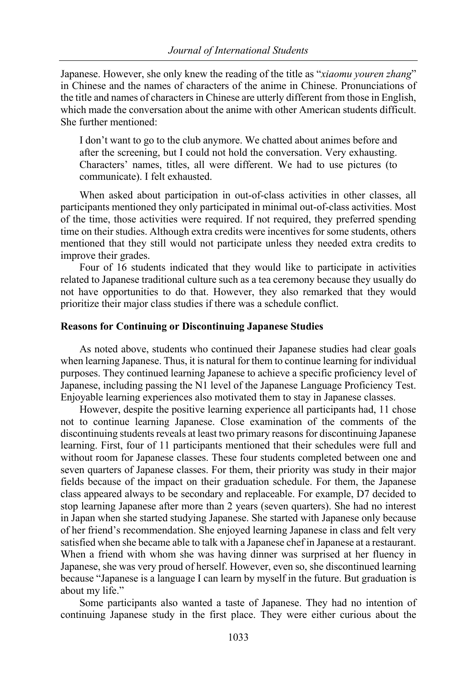Japanese. However, she only knew the reading of the title as "*xiaomu youren zhang*" in Chinese and the names of characters of the anime in Chinese. Pronunciations of the title and names of characters in Chinese are utterly different from those in English, which made the conversation about the anime with other American students difficult. She further mentioned:

I don't want to go to the club anymore. We chatted about animes before and after the screening, but I could not hold the conversation. Very exhausting. Characters' names, titles, all were different. We had to use pictures (to communicate). I felt exhausted.

When asked about participation in out-of-class activities in other classes, all participants mentioned they only participated in minimal out-of-class activities. Most of the time, those activities were required. If not required, they preferred spending time on their studies. Although extra credits were incentives for some students, others mentioned that they still would not participate unless they needed extra credits to improve their grades.

Four of 16 students indicated that they would like to participate in activities related to Japanese traditional culture such as a tea ceremony because they usually do not have opportunities to do that. However, they also remarked that they would prioritize their major class studies if there was a schedule conflict.

## **Reasons for Continuing or Discontinuing Japanese Studies**

As noted above, students who continued their Japanese studies had clear goals when learning Japanese. Thus, it is natural for them to continue learning for individual purposes. They continued learning Japanese to achieve a specific proficiency level of Japanese, including passing the N1 level of the Japanese Language Proficiency Test. Enjoyable learning experiences also motivated them to stay in Japanese classes.

However, despite the positive learning experience all participants had, 11 chose not to continue learning Japanese. Close examination of the comments of the discontinuing students reveals at least two primary reasons for discontinuing Japanese learning. First, four of 11 participants mentioned that their schedules were full and without room for Japanese classes. These four students completed between one and seven quarters of Japanese classes. For them, their priority was study in their major fields because of the impact on their graduation schedule. For them, the Japanese class appeared always to be secondary and replaceable. For example, D7 decided to stop learning Japanese after more than 2 years (seven quarters). She had no interest in Japan when she started studying Japanese. She started with Japanese only because of her friend's recommendation. She enjoyed learning Japanese in class and felt very satisfied when she became able to talk with a Japanese chef in Japanese at a restaurant. When a friend with whom she was having dinner was surprised at her fluency in Japanese, she was very proud of herself. However, even so, she discontinued learning because "Japanese is a language I can learn by myself in the future. But graduation is about my life."

Some participants also wanted a taste of Japanese. They had no intention of continuing Japanese study in the first place. They were either curious about the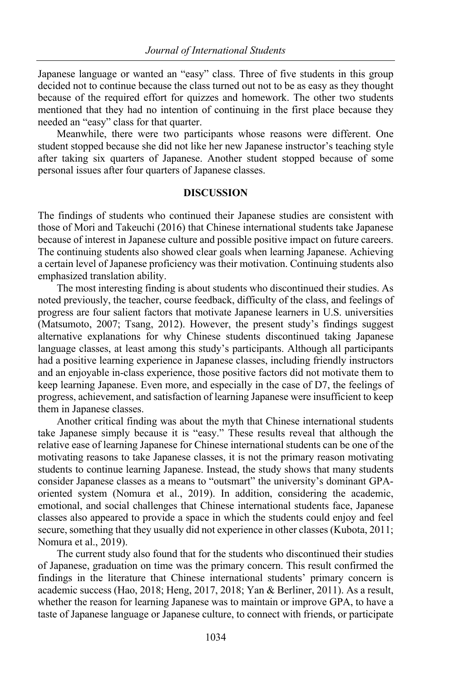Japanese language or wanted an "easy" class. Three of five students in this group decided not to continue because the class turned out not to be as easy as they thought because of the required effort for quizzes and homework. The other two students mentioned that they had no intention of continuing in the first place because they needed an "easy" class for that quarter.

Meanwhile, there were two participants whose reasons were different. One student stopped because she did not like her new Japanese instructor's teaching style after taking six quarters of Japanese. Another student stopped because of some personal issues after four quarters of Japanese classes.

## **DISCUSSION**

The findings of students who continued their Japanese studies are consistent with those of Mori and Takeuchi (2016) that Chinese international students take Japanese because of interest in Japanese culture and possible positive impact on future careers. The continuing students also showed clear goals when learning Japanese. Achieving a certain level of Japanese proficiency was their motivation. Continuing students also emphasized translation ability.

The most interesting finding is about students who discontinued their studies. As noted previously, the teacher, course feedback, difficulty of the class, and feelings of progress are four salient factors that motivate Japanese learners in U.S. universities (Matsumoto, 2007; Tsang, 2012). However, the present study's findings suggest alternative explanations for why Chinese students discontinued taking Japanese language classes, at least among this study's participants. Although all participants had a positive learning experience in Japanese classes, including friendly instructors and an enjoyable in-class experience, those positive factors did not motivate them to keep learning Japanese. Even more, and especially in the case of D7, the feelings of progress, achievement, and satisfaction of learning Japanese were insufficient to keep them in Japanese classes.

Another critical finding was about the myth that Chinese international students take Japanese simply because it is "easy." These results reveal that although the relative ease of learning Japanese for Chinese international students can be one of the motivating reasons to take Japanese classes, it is not the primary reason motivating students to continue learning Japanese. Instead, the study shows that many students consider Japanese classes as a means to "outsmart" the university's dominant GPAoriented system (Nomura et al., 2019). In addition, considering the academic, emotional, and social challenges that Chinese international students face, Japanese classes also appeared to provide a space in which the students could enjoy and feel secure, something that they usually did not experience in other classes (Kubota, 2011; Nomura et al., 2019).

The current study also found that for the students who discontinued their studies of Japanese, graduation on time was the primary concern. This result confirmed the findings in the literature that Chinese international students' primary concern is academic success (Hao, 2018; Heng, 2017, 2018; Yan & Berliner, 2011). As a result, whether the reason for learning Japanese was to maintain or improve GPA, to have a taste of Japanese language or Japanese culture, to connect with friends, or participate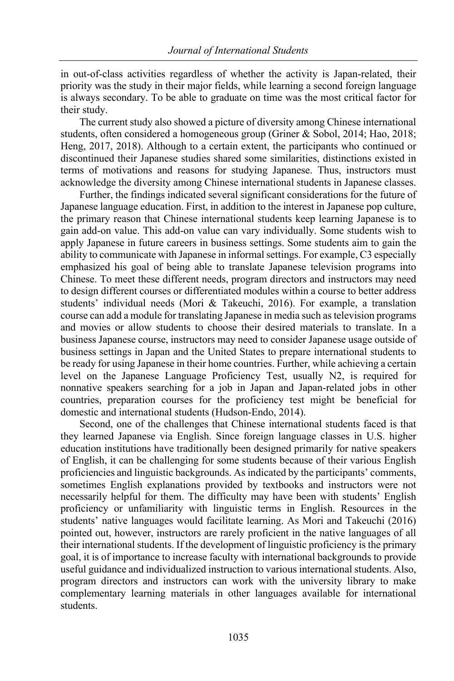in out-of-class activities regardless of whether the activity is Japan-related, their priority was the study in their major fields, while learning a second foreign language is always secondary. To be able to graduate on time was the most critical factor for their study.

The current study also showed a picture of diversity among Chinese international students, often considered a homogeneous group (Griner & Sobol, 2014; Hao, 2018; Heng, 2017, 2018). Although to a certain extent, the participants who continued or discontinued their Japanese studies shared some similarities, distinctions existed in terms of motivations and reasons for studying Japanese. Thus, instructors must acknowledge the diversity among Chinese international students in Japanese classes.

Further, the findings indicated several significant considerations for the future of Japanese language education. First, in addition to the interest in Japanese pop culture, the primary reason that Chinese international students keep learning Japanese is to gain add-on value. This add-on value can vary individually. Some students wish to apply Japanese in future careers in business settings. Some students aim to gain the ability to communicate with Japanese in informal settings. For example, C3 especially emphasized his goal of being able to translate Japanese television programs into Chinese. To meet these different needs, program directors and instructors may need to design different courses or differentiated modules within a course to better address students' individual needs (Mori & Takeuchi, 2016). For example, a translation course can add a module for translating Japanese in media such as television programs and movies or allow students to choose their desired materials to translate. In a business Japanese course, instructors may need to consider Japanese usage outside of business settings in Japan and the United States to prepare international students to be ready for using Japanese in their home countries. Further, while achieving a certain level on the Japanese Language Proficiency Test, usually N2, is required for nonnative speakers searching for a job in Japan and Japan-related jobs in other countries, preparation courses for the proficiency test might be beneficial for domestic and international students (Hudson-Endo, 2014).

Second, one of the challenges that Chinese international students faced is that they learned Japanese via English. Since foreign language classes in U.S. higher education institutions have traditionally been designed primarily for native speakers of English, it can be challenging for some students because of their various English proficiencies and linguistic backgrounds. As indicated by the participants' comments, sometimes English explanations provided by textbooks and instructors were not necessarily helpful for them. The difficulty may have been with students' English proficiency or unfamiliarity with linguistic terms in English. Resources in the students' native languages would facilitate learning. As Mori and Takeuchi (2016) pointed out, however, instructors are rarely proficient in the native languages of all their international students. If the development of linguistic proficiency is the primary goal, it is of importance to increase faculty with international backgrounds to provide useful guidance and individualized instruction to various international students. Also, program directors and instructors can work with the university library to make complementary learning materials in other languages available for international students.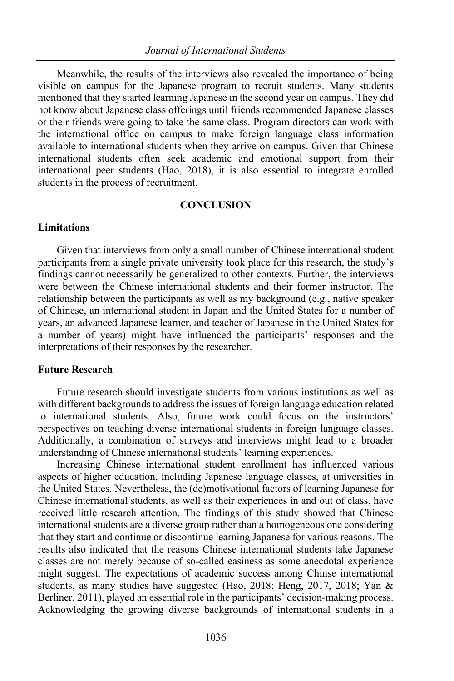Meanwhile, the results of the interviews also revealed the importance of being visible on campus for the Japanese program to recruit students. Many students mentioned that they started learning Japanese in the second year on campus. They did not know about Japanese class offerings until friends recommended Japanese classes or their friends were going to take the same class. Program directors can work with the international office on campus to make foreign language class information available to international students when they arrive on campus. Given that Chinese international students often seek academic and emotional support from their international peer students (Hao, 2018), it is also essential to integrate enrolled students in the process of recruitment.

## **CONCLUSION**

## **Limitations**

Given that interviews from only a small number of Chinese international student participants from a single private university took place for this research, the study's findings cannot necessarily be generalized to other contexts. Further, the interviews were between the Chinese international students and their former instructor. The relationship between the participants as well as my background (e.g., native speaker of Chinese, an international student in Japan and the United States for a number of years, an advanced Japanese learner, and teacher of Japanese in the United States for a number of years) might have influenced the participants' responses and the interpretations of their responses by the researcher.

## **Future Research**

Future research should investigate students from various institutions as well as with different backgrounds to address the issues of foreign language education related to international students. Also, future work could focus on the instructors' perspectives on teaching diverse international students in foreign language classes. Additionally, a combination of surveys and interviews might lead to a broader understanding of Chinese international students' learning experiences.

Increasing Chinese international student enrollment has influenced various aspects of higher education, including Japanese language classes, at universities in the United States. Nevertheless, the (de)motivational factors of learning Japanese for Chinese international students, as well as their experiences in and out of class, have received little research attention. The findings of this study showed that Chinese international students are a diverse group rather than a homogeneous one considering that they start and continue or discontinue learning Japanese for various reasons. The results also indicated that the reasons Chinese international students take Japanese classes are not merely because of so-called easiness as some anecdotal experience might suggest. The expectations of academic success among Chinse international students, as many studies have suggested (Hao, 2018; Heng, 2017, 2018; Yan & Berliner, 2011), played an essential role in the participants' decision-making process. Acknowledging the growing diverse backgrounds of international students in a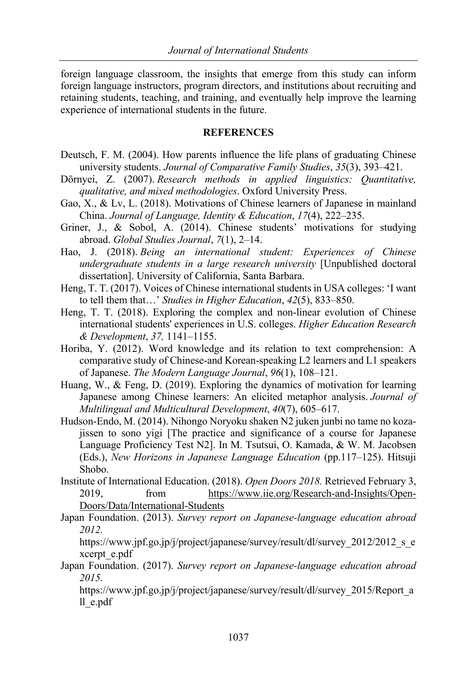foreign language classroom, the insights that emerge from this study can inform foreign language instructors, program directors, and institutions about recruiting and retaining students, teaching, and training, and eventually help improve the learning experience of international students in the future.

## **REFERENCES**

- Deutsch, F. M. (2004). How parents influence the life plans of graduating Chinese university students. *Journal of Comparative Family Studies*, *35*(3), 393–421.
- Dörnyei, Z. (2007). *Research methods in applied linguistics: Quantitative, qualitative, and mixed methodologies*. Oxford University Press.
- Gao, X., & Lv, L. (2018). Motivations of Chinese learners of Japanese in mainland China. *Journal of Language, Identity & Education*, *17*(4), 222–235.
- Griner, J., & Sobol, A. (2014). Chinese students' motivations for studying abroad. *Global Studies Journal*, *7*(1), 2–14.
- Hao, J. (2018). *Being an international student: Experiences of Chinese undergraduate students in a large research university* [Unpublished doctoral dissertation]. University of California, Santa Barbara.
- Heng, T. T. (2017). Voices of Chinese international students in USA colleges: 'I want to tell them that…' *Studies in Higher Education*, *42*(5), 833–850.
- Heng, T. T. (2018). Exploring the complex and non-linear evolution of Chinese international students' experiences in U.S. colleges. *Higher Education Research & Development*, *37,* 1141–1155.
- Horiba, Y. (2012). Word knowledge and its relation to text comprehension: A comparative study of Chinese‐and Korean‐speaking L2 learners and L1 speakers of Japanese. *The Modern Language Journal*, *96*(1), 108–121.
- Huang, W., & Feng, D. (2019). Exploring the dynamics of motivation for learning Japanese among Chinese learners: An elicited metaphor analysis. *Journal of Multilingual and Multicultural Development*, *40*(7), 605–617.
- Hudson-Endo, M. (2014). Nihongo Noryoku shaken N2 juken junbi no tame no kozajissen to sono yigi [The practice and significance of a course for Japanese Language Proficiency Test N2]. In M. Tsutsui, O. Kamada, & W. M. Jacobsen (Eds.), *New Horizons in Japanese Language Education* (pp.117–125). Hitsuji Shobo.
- Institute of International Education. (2018). *Open Doors 2018.* Retrieved February 3, 2019, from https://www.iie.org/Research-and-Insights/Open-Doors/Data/International-Students
- Japan Foundation. (2013). *Survey report on Japanese-language education abroad 2012.*

https://www.jpf.go.jp/j/project/japanese/survey/result/dl/survey\_2012/2012\_s\_e xcerpt\_e.pdf

Japan Foundation. (2017). *Survey report on Japanese-language education abroad 2015.*

https://www.jpf.go.jp/j/project/japanese/survey/result/dl/survey\_2015/Report\_a ll\_e.pdf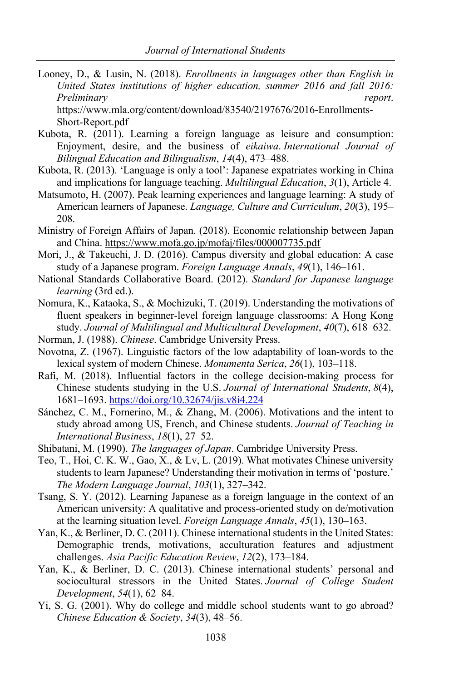Looney, D., & Lusin, N. (2018). *Enrollments in languages other than English in United States institutions of higher education, summer 2016 and fall 2016: Preliminary report*. https://www.mla.org/content/download/83540/2197676/2016-Enrollments-

Short-Report.pdf

- Kubota, R. (2011). Learning a foreign language as leisure and consumption: Enjoyment, desire, and the business of *eikaiwa*. *International Journal of Bilingual Education and Bilingualism*, *14*(4), 473–488.
- Kubota, R. (2013). 'Language is only a tool': Japanese expatriates working in China and implications for language teaching. *Multilingual Education*, *3*(1), Article 4.
- Matsumoto, H. (2007). Peak learning experiences and language learning: A study of American learners of Japanese. *Language, Culture and Curriculum*, *20*(3), 195– 208.
- Ministry of Foreign Affairs of Japan. (2018). Economic relationship between Japan and China. https://www.mofa.go.jp/mofaj/files/000007735.pdf
- Mori, J., & Takeuchi, J. D. (2016). Campus diversity and global education: A case study of a Japanese program. *Foreign Language Annals*, *49*(1), 146–161.
- National Standards Collaborative Board. (2012). *Standard for Japanese language learning* (3rd ed.).
- Nomura, K., Kataoka, S., & Mochizuki, T. (2019). Understanding the motivations of fluent speakers in beginner-level foreign language classrooms: A Hong Kong study. *Journal of Multilingual and Multicultural Development*, *40*(7), 618–632.
- Norman, J. (1988). *Chinese*. Cambridge University Press.
- Novotna, Z. (1967). Linguistic factors of the low adaptability of loan-words to the lexical system of modern Chinese. *Monumenta Serica*, *26*(1), 103–118.
- Rafi, M. (2018). Influential factors in the college decision-making process for Chinese students studying in the U.S. *Journal of International Students*, *8*(4), 1681–1693. https://doi.org/10.32674/jis.v8i4.224
- Sánchez, C. M., Fornerino, M., & Zhang, M. (2006). Motivations and the intent to study abroad among US, French, and Chinese students. *Journal of Teaching in International Business*, *18*(1), 27–52.
- Shibatani, M. (1990). *The languages of Japan*. Cambridge University Press.
- Teo, T., Hoi, C. K. W., Gao, X., & Lv, L. (2019). What motivates Chinese university students to learn Japanese? Understanding their motivation in terms of 'posture.' *The Modern Language Journal*, *103*(1), 327–342.
- Tsang, S. Y. (2012). Learning Japanese as a foreign language in the context of an American university: A qualitative and process-oriented study on de/motivation at the learning situation level. *Foreign Language Annals*, *45*(1), 130–163.
- Yan, K., & Berliner, D. C. (2011). Chinese international students in the United States: Demographic trends, motivations, acculturation features and adjustment challenges. *Asia Pacific Education Review*, *12*(2), 173–184.
- Yan, K., & Berliner, D. C. (2013). Chinese international students' personal and sociocultural stressors in the United States. *Journal of College Student Development*, *54*(1), 62–84.
- Yi, S. G. (2001). Why do college and middle school students want to go abroad? *Chinese Education & Society*, *34*(3), 48–56.